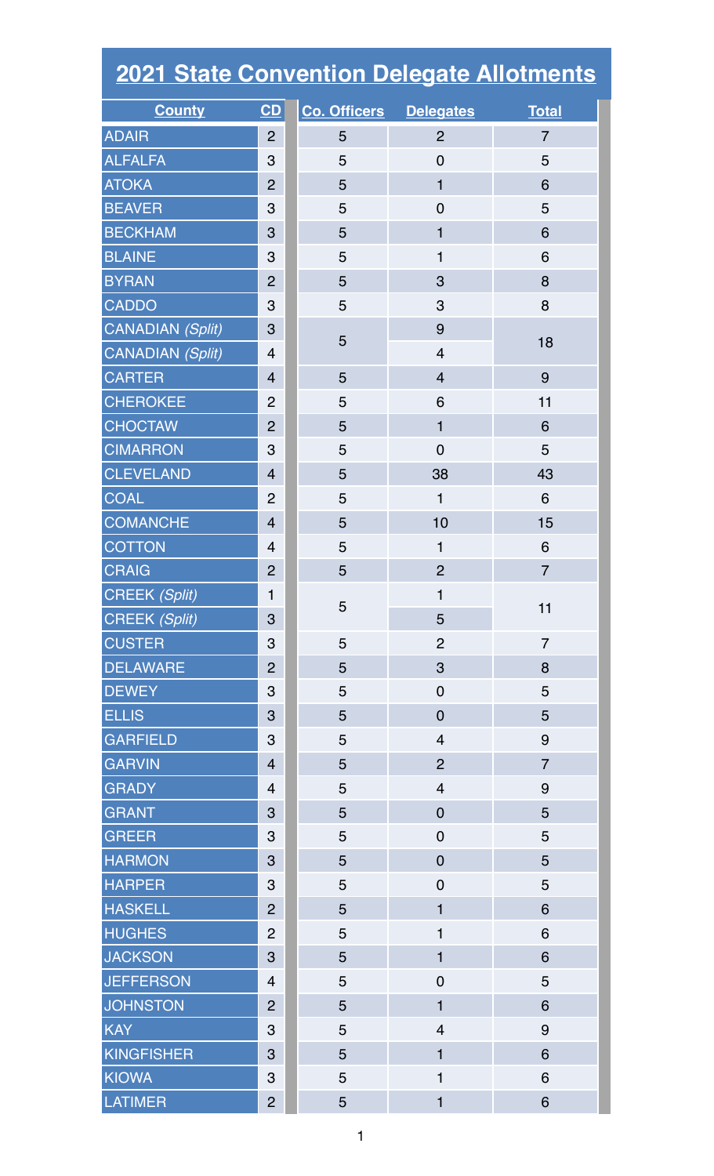| <b>2021 State Convention Delegate Allotments</b> |                |                               |                         |                |  |  |
|--------------------------------------------------|----------------|-------------------------------|-------------------------|----------------|--|--|
| <b>County</b>                                    | CD             | <b>Co. Officers Delegates</b> |                         | <b>Total</b>   |  |  |
| <b>ADAIR</b>                                     | 2              | 5                             | $\overline{2}$          | $\overline{7}$ |  |  |
| <b>ALFALFA</b>                                   | 3              | 5                             | $\overline{0}$          | 5              |  |  |
| <b>ATOKA</b>                                     | $\overline{2}$ | 5                             | $\mathbf{1}$            | 6              |  |  |
| <b>BEAVER</b>                                    | 3              | 5                             | $\overline{0}$          | 5              |  |  |
| <b>BECKHAM</b>                                   | 3              | 5                             | 1                       | 6              |  |  |
| <b>BLAINE</b>                                    | 3              | 5                             | 1                       | 6              |  |  |
| <b>BYRAN</b>                                     | $\overline{2}$ | 5                             | 3                       | 8              |  |  |
| <b>CADDO</b>                                     | 3              | 5                             | 3                       | 8              |  |  |
| CANADIAN (Split)                                 | 3              | 5                             | 9                       | 18             |  |  |
| <b>CANADIAN (Split)</b>                          | $\overline{4}$ |                               | $\overline{4}$          |                |  |  |
| <b>CARTER</b>                                    | $\overline{4}$ | 5                             | $\overline{4}$          | 9              |  |  |
| <b>CHEROKEE</b>                                  | $\overline{2}$ | 5                             | 6                       | 11             |  |  |
| <b>CHOCTAW</b>                                   | $\overline{2}$ | 5                             | 1                       | 6              |  |  |
| <b>CIMARRON</b>                                  | 3              | 5                             | $\overline{0}$          | 5              |  |  |
| <b>CLEVELAND</b>                                 | $\overline{4}$ | 5                             | 38                      | 43             |  |  |
| <b>COAL</b>                                      | $\overline{2}$ | 5                             | $\mathbf{1}$            | 6              |  |  |
| <b>COMANCHE</b>                                  | $\overline{4}$ | 5                             | 10                      | 15             |  |  |
| <b>COTTON</b>                                    | $\overline{4}$ | 5                             | 1                       | 6              |  |  |
| <b>CRAIG</b>                                     | $\overline{2}$ | 5                             | $\overline{2}$          | $\overline{7}$ |  |  |
| CREEK (Split)                                    | 1              |                               | $\mathbf 1$             | 11             |  |  |
| <b>CREEK (Split)</b>                             | 3              | 5                             | 5                       |                |  |  |
| <b>CUSTER</b>                                    | 3              | 5                             | $\overline{2}$          | $\overline{7}$ |  |  |
| <b>DELAWARE</b>                                  | $\overline{2}$ | 5                             | 3                       | 8              |  |  |
| <b>DEWEY</b>                                     | 3              | 5                             | $\mathbf 0$             | 5              |  |  |
| <b>ELLIS</b>                                     | 3              | 5                             | $\mathbf 0$             | 5              |  |  |
| <b>GARFIELD</b>                                  | 3              | 5                             | $\overline{4}$          | 9              |  |  |
| <b>GARVIN</b>                                    | $\overline{4}$ | 5                             | $\overline{2}$          | $\overline{7}$ |  |  |
| <b>GRADY</b>                                     | $\overline{4}$ | 5                             | $\overline{\mathbf{4}}$ | 9              |  |  |
| <b>GRANT</b>                                     | 3              | 5                             | $\mathbf 0$             | 5              |  |  |
| <b>GREER</b>                                     | 3              | 5                             | $\mathbf 0$             | 5              |  |  |
| <b>HARMON</b>                                    | 3              | 5                             | $\overline{0}$          | 5              |  |  |
| <b>HARPER</b>                                    | 3              | 5                             | $\mathbf 0$             | 5              |  |  |
| <b>HASKELL</b>                                   | $\overline{2}$ | 5                             | 1                       | 6              |  |  |
| <b>HUGHES</b>                                    | $\overline{2}$ | 5                             | 1                       | 6              |  |  |
| <b>JACKSON</b>                                   | 3              | 5                             | $\mathbf{1}$            | 6              |  |  |
| <b>JEFFERSON</b>                                 | $\overline{4}$ | 5                             | $\mathbf 0$             | 5              |  |  |
| <b>JOHNSTON</b>                                  | $\overline{2}$ | 5                             | $\mathbf{1}$            | 6              |  |  |
| <b>KAY</b>                                       | 3              | 5                             | $\overline{\mathbf{4}}$ | 9              |  |  |
| <b>KINGFISHER</b>                                | 3              | 5                             | $\mathbf{1}$            | 6              |  |  |
| <b>KIOWA</b>                                     | 3              | 5                             | 1                       | 6              |  |  |
| <b>LATIMER</b>                                   | $\overline{2}$ | 5                             | $\mathbf{1}$            | 6              |  |  |